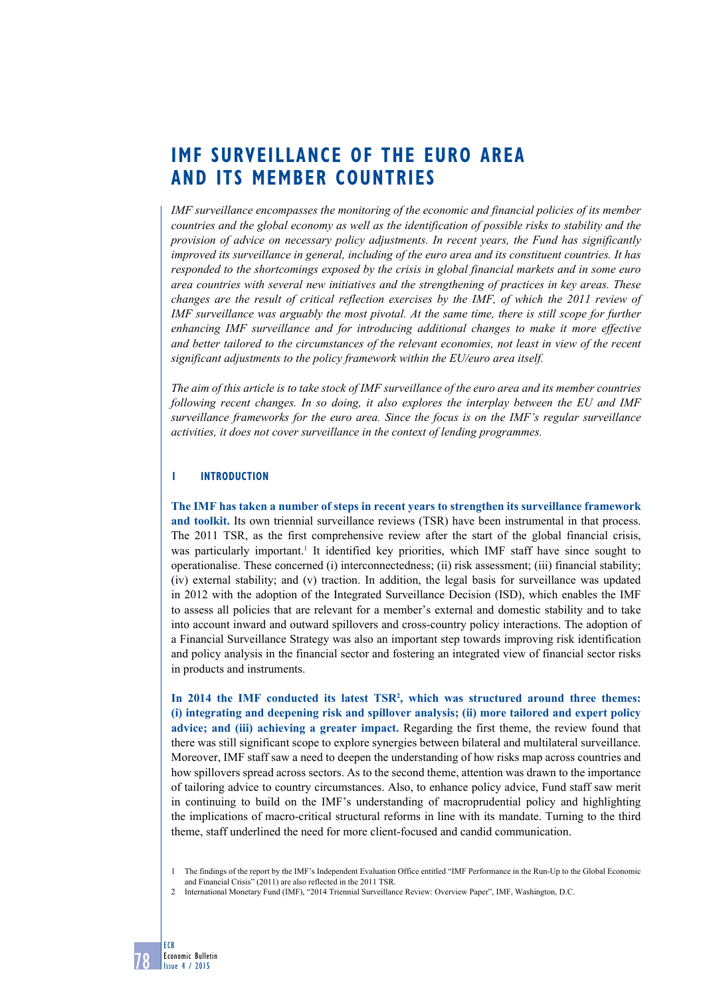# **imf surveillance of the euro area and its member countries**

*IMF surveillance encompasses the monitoring of the economic and financial policies of its member countries and the global economy as well as the identification of possible risks to stability and the provision of advice on necessary policy adjustments. In recent years, the Fund has significantly improved its surveillance in general, including of the euro area and its constituent countries. It has responded to the shortcomings exposed by the crisis in global financial markets and in some euro area countries with several new initiatives and the strengthening of practices in key areas. These changes are the result of critical reflection exercises by the IMF, of which the 2011 review of IMF surveillance was arguably the most pivotal. At the same time, there is still scope for further enhancing IMF surveillance and for introducing additional changes to make it more effective and better tailored to the circumstances of the relevant economies, not least in view of the recent significant adjustments to the policy framework within the EU/euro area itself.* 

*The aim of this article is to take stock of IMF surveillance of the euro area and its member countries following recent changes. In so doing, it also explores the interplay between the EU and IMF surveillance frameworks for the euro area. Since the focus is on the IMF's regular surveillance activities, it does not cover surveillance in the context of lending programmes.* 

# **1 introduction**

78

ECB

Economic Bulletin Issue 4 / 2015

**The IMF has taken a number of steps in recent years to strengthen its surveillance framework and toolkit.** Its own triennial surveillance reviews (TSR) have been instrumental in that process. The 2011 TSR, as the first comprehensive review after the start of the global financial crisis, was particularly important.<sup>1</sup> It identified key priorities, which IMF staff have since sought to operationalise. These concerned (i) interconnectedness; (ii) risk assessment; (iii) financial stability; (iv) external stability; and (v) traction. In addition, the legal basis for surveillance was updated in 2012 with the adoption of the Integrated Surveillance Decision (ISD), which enables the IMF to assess all policies that are relevant for a member's external and domestic stability and to take into account inward and outward spillovers and cross-country policy interactions. The adoption of a Financial Surveillance Strategy was also an important step towards improving risk identification and policy analysis in the financial sector and fostering an integrated view of financial sector risks in products and instruments.

**In 2014 the IMF conducted its latest TSR2 , which was structured around three themes: (i) integrating and deepening risk and spillover analysis; (ii) more tailored and expert policy advice; and (iii) achieving a greater impact.** Regarding the first theme, the review found that there was still significant scope to explore synergies between bilateral and multilateral surveillance. Moreover, IMF staff saw a need to deepen the understanding of how risks map across countries and how spillovers spread across sectors. As to the second theme, attention was drawn to the importance of tailoring advice to country circumstances. Also, to enhance policy advice, Fund staff saw merit in continuing to build on the IMF's understanding of macroprudential policy and highlighting the implications of macro-critical structural reforms in line with its mandate. Turning to the third theme, staff underlined the need for more client-focused and candid communication.

2 International Monetary Fund (IMF), "2014 Triennial Surveillance Review: Overview Paper", IMF, Washington, D.C.

<sup>1</sup> The findings of the report by the IMF's Independent Evaluation Office entitled "IMF Performance in the Run-Up to the Global Economic and Financial Crisis" (2011) are also reflected in the 2011 TSR.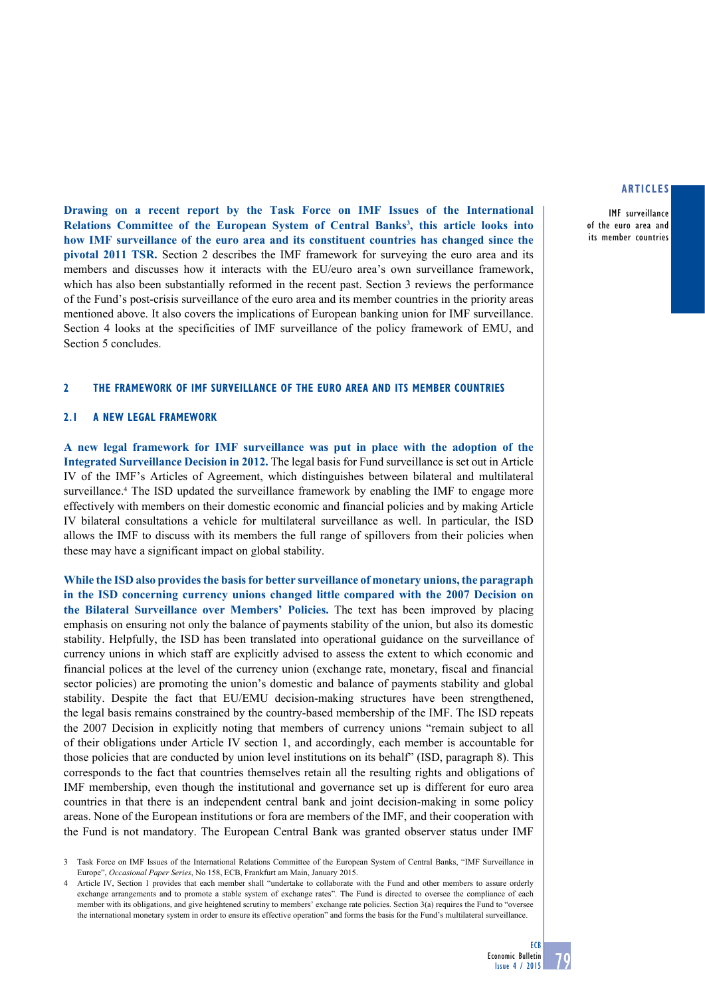IMF surveillance of the euro area and its member countries

**Drawing on a recent report by the Task Force on IMF Issues of the International**  Relations Committee of the European System of Central Banks<sup>3</sup>, this article looks into **how IMF surveillance of the euro area and its constituent countries has changed since the pivotal 2011 TSR.** Section 2 describes the IMF framework for surveying the euro area and its members and discusses how it interacts with the EU/euro area's own surveillance framework, which has also been substantially reformed in the recent past. Section 3 reviews the performance of the Fund's post-crisis surveillance of the euro area and its member countries in the priority areas mentioned above. It also covers the implications of European banking union for IMF surveillance. Section 4 looks at the specificities of IMF surveillance of the policy framework of EMU, and Section 5 concludes.

## **2 the framework of imf surveillance of the euro area and its member countries**

#### **2.1 a new legal framework**

**A new legal framework for IMF surveillance was put in place with the adoption of the Integrated Surveillance Decision in 2012.** The legal basis for Fund surveillance is set out in Article IV of the IMF's Articles of Agreement, which distinguishes between bilateral and multilateral surveillance.4 The ISD updated the surveillance framework by enabling the IMF to engage more effectively with members on their domestic economic and financial policies and by making Article IV bilateral consultations a vehicle for multilateral surveillance as well. In particular, the ISD allows the IMF to discuss with its members the full range of spillovers from their policies when these may have a significant impact on global stability.

**While the ISD also provides the basis for better surveillance of monetary unions, the paragraph in the ISD concerning currency unions changed little compared with the 2007 Decision on the Bilateral Surveillance over Members' Policies.** The text has been improved by placing emphasis on ensuring not only the balance of payments stability of the union, but also its domestic stability. Helpfully, the ISD has been translated into operational guidance on the surveillance of currency unions in which staff are explicitly advised to assess the extent to which economic and financial polices at the level of the currency union (exchange rate, monetary, fiscal and financial sector policies) are promoting the union's domestic and balance of payments stability and global stability. Despite the fact that EU/EMU decision-making structures have been strengthened, the legal basis remains constrained by the country-based membership of the IMF. The ISD repeats the 2007 Decision in explicitly noting that members of currency unions "remain subject to all of their obligations under Article IV section 1, and accordingly, each member is accountable for those policies that are conducted by union level institutions on its behalf" (ISD, paragraph 8). This corresponds to the fact that countries themselves retain all the resulting rights and obligations of IMF membership, even though the institutional and governance set up is different for euro area countries in that there is an independent central bank and joint decision-making in some policy areas. None of the European institutions or fora are members of the IMF, and their cooperation with the Fund is not mandatory. The European Central Bank was granted observer status under IMF

3 Task Force on IMF Issues of the International Relations Committee of the European System of Central Banks, "IMF Surveillance in Europe", *Occasional Paper Series*, No 158, ECB, Frankfurt am Main, January 2015.

4 Article IV, Section 1 provides that each member shall "undertake to collaborate with the Fund and other members to assure orderly exchange arrangements and to promote a stable system of exchange rates". The Fund is directed to oversee the compliance of each member with its obligations, and give heightened scrutiny to members' exchange rate policies. Section 3(a) requires the Fund to "oversee the international monetary system in order to ensure its effective operation" and forms the basis for the Fund's multilateral surveillance.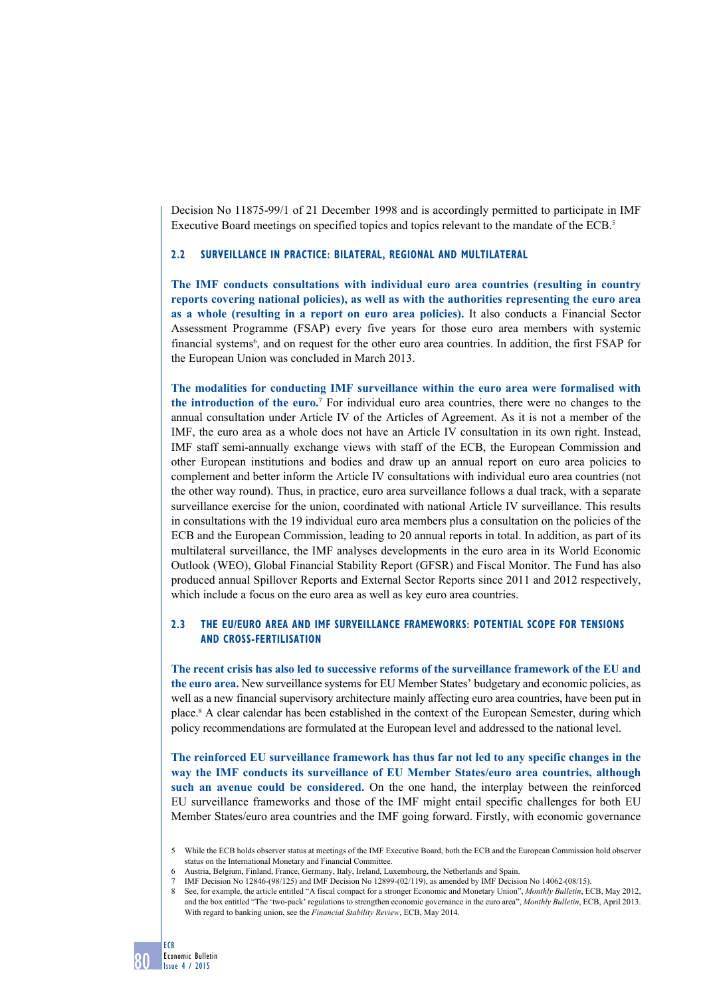Decision No 11875-99/1 of 21 December 1998 and is accordingly permitted to participate in IMF Executive Board meetings on specified topics and topics relevant to the mandate of the ECB.5

## **2.2 surveillance in practice: bilateral, regional and multilateral**

**The IMF conducts consultations with individual euro area countries (resulting in country reports covering national policies), as well as with the authorities representing the euro area as a whole (resulting in a report on euro area policies).** It also conducts a Financial Sector Assessment Programme (FSAP) every five years for those euro area members with systemic financial systems<sup>6</sup>, and on request for the other euro area countries. In addition, the first FSAP for the European Union was concluded in March 2013.

**The modalities for conducting IMF surveillance within the euro area were formalised with the introduction of the euro.**<sup>7</sup> For individual euro area countries, there were no changes to the annual consultation under Article IV of the Articles of Agreement. As it is not a member of the IMF, the euro area as a whole does not have an Article IV consultation in its own right. Instead, IMF staff semi-annually exchange views with staff of the ECB, the European Commission and other European institutions and bodies and draw up an annual report on euro area policies to complement and better inform the Article IV consultations with individual euro area countries (not the other way round). Thus, in practice, euro area surveillance follows a dual track, with a separate surveillance exercise for the union, coordinated with national Article IV surveillance. This results in consultations with the 19 individual euro area members plus a consultation on the policies of the ECB and the European Commission, leading to 20 annual reports in total. In addition, as part of its multilateral surveillance, the IMF analyses developments in the euro area in its World Economic Outlook (WEO), Global Financial Stability Report (GFSR) and Fiscal Monitor. The Fund has also produced annual Spillover Reports and External Sector Reports since 2011 and 2012 respectively, which include a focus on the euro area as well as key euro area countries.

# **2.3 The EU/euro area and IMF surveillance frameworks: potential scope for tensions and cross-fertilisation**

**The recent crisis has also led to successive reforms of the surveillance framework of the EU and the euro area.** New surveillance systems for EU Member States' budgetary and economic policies, as well as a new financial supervisory architecture mainly affecting euro area countries, have been put in place.<sup>8</sup> A clear calendar has been established in the context of the European Semester, during which policy recommendations are formulated at the European level and addressed to the national level.

**The reinforced EU surveillance framework has thus far not led to any specific changes in the way the IMF conducts its surveillance of EU Member States/euro area countries, although such an avenue could be considered.** On the one hand, the interplay between the reinforced EU surveillance frameworks and those of the IMF might entail specific challenges for both EU Member States/euro area countries and the IMF going forward. Firstly, with economic governance

<sup>5</sup> While the ECB holds observer status at meetings of the IMF Executive Board, both the ECB and the European Commission hold observer status on the International Monetary and Financial Committee.

<sup>6</sup> Austria, Belgium, Finland, France, Germany, Italy, Ireland, Luxembourg, the Netherlands and Spain.

<sup>7</sup> IMF Decision No 12846-(98/125) and IMF Decision No 12899-(02/119), as amended by IMF Decision No 14062-(08/15).

<sup>8</sup> See, for example, the article entitled "A fiscal compact for a stronger Economic and Monetary Union", *Monthly Bulletin*, ECB, May 2012, and the box entitled "The 'two-pack' regulations to strengthen economic governance in the euro area", *Monthly Bulletin*, ECB, April 2013. With regard to banking union, see the *Financial Stability Review*, ECB, May 2014.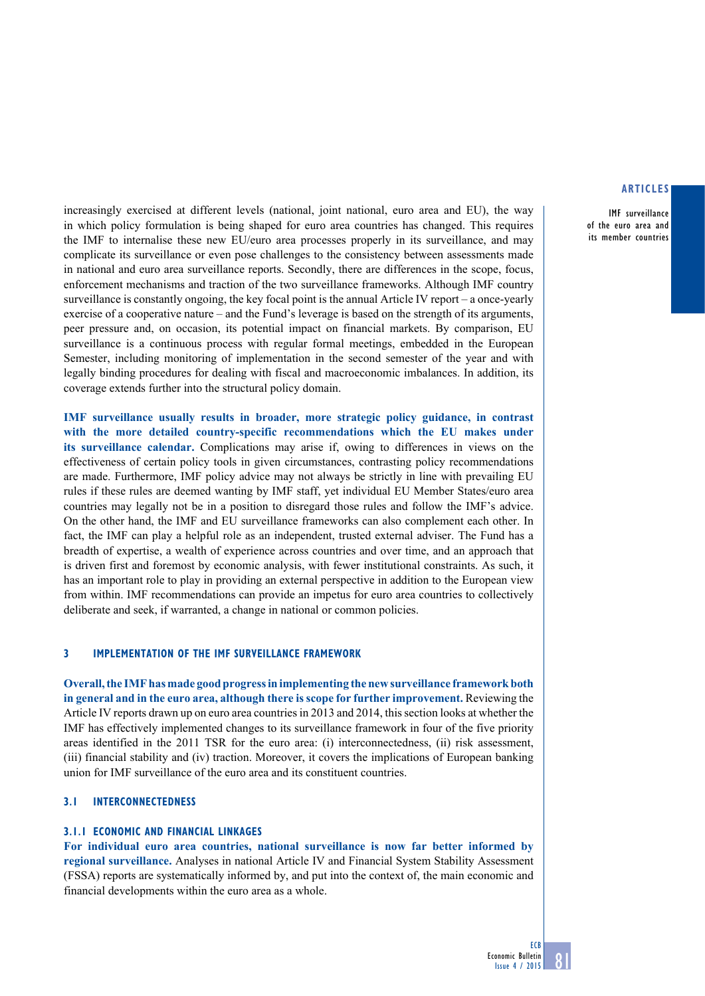IMF surveillance of the euro area and its member countries

increasingly exercised at different levels (national, joint national, euro area and EU), the way in which policy formulation is being shaped for euro area countries has changed. This requires the IMF to internalise these new EU/euro area processes properly in its surveillance, and may complicate its surveillance or even pose challenges to the consistency between assessments made in national and euro area surveillance reports. Secondly, there are differences in the scope, focus, enforcement mechanisms and traction of the two surveillance frameworks. Although IMF country surveillance is constantly ongoing, the key focal point is the annual Article IV report – a once-yearly exercise of a cooperative nature – and the Fund's leverage is based on the strength of its arguments, peer pressure and, on occasion, its potential impact on financial markets. By comparison, EU surveillance is a continuous process with regular formal meetings, embedded in the European Semester, including monitoring of implementation in the second semester of the year and with legally binding procedures for dealing with fiscal and macroeconomic imbalances. In addition, its coverage extends further into the structural policy domain.

**IMF surveillance usually results in broader, more strategic policy guidance, in contrast with the more detailed country-specific recommendations which the EU makes under its surveillance calendar.** Complications may arise if, owing to differences in views on the effectiveness of certain policy tools in given circumstances, contrasting policy recommendations are made. Furthermore, IMF policy advice may not always be strictly in line with prevailing EU rules if these rules are deemed wanting by IMF staff, yet individual EU Member States/euro area countries may legally not be in a position to disregard those rules and follow the IMF's advice. On the other hand, the IMF and EU surveillance frameworks can also complement each other. In fact, the IMF can play a helpful role as an independent, trusted external adviser. The Fund has a breadth of expertise, a wealth of experience across countries and over time, and an approach that is driven first and foremost by economic analysis, with fewer institutional constraints. As such, it has an important role to play in providing an external perspective in addition to the European view from within. IMF recommendations can provide an impetus for euro area countries to collectively deliberate and seek, if warranted, a change in national or common policies.

## **3 implementation of the imf surveillance framework**

**Overall, the IMF has made good progress in implementing the new surveillance framework both in general and in the euro area, although there is scope for further improvement.** Reviewing the Article IV reports drawn up on euro area countries in 2013 and 2014, this section looks at whether the IMF has effectively implemented changes to its surveillance framework in four of the five priority areas identified in the 2011 TSR for the euro area: (i) interconnectedness, (ii) risk assessment, (iii) financial stability and (iv) traction. Moreover, it covers the implications of European banking union for IMF surveillance of the euro area and its constituent countries.

## **3.1 Interconnectedness**

#### **3.1.1 Economic and financial linkages**

**For individual euro area countries, national surveillance is now far better informed by regional surveillance.** Analyses in national Article IV and Financial System Stability Assessment (FSSA) reports are systematically informed by, and put into the context of, the main economic and financial developments within the euro area as a whole.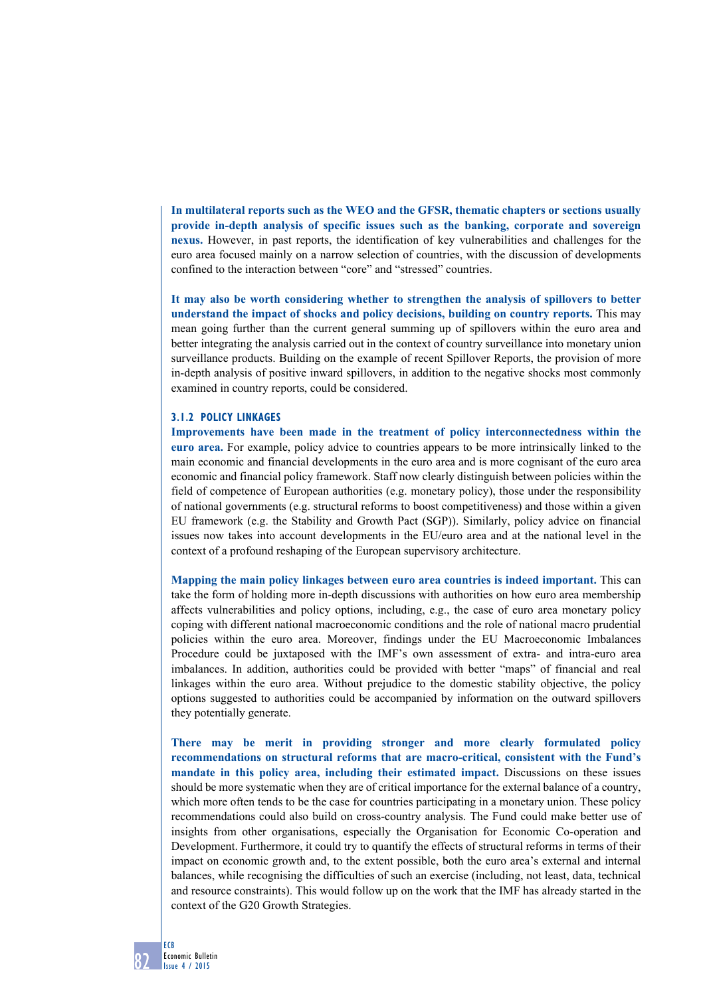**In multilateral reports such as the WEO and the GFSR, thematic chapters or sections usually provide in-depth analysis of specific issues such as the banking, corporate and sovereign nexus.** However, in past reports, the identification of key vulnerabilities and challenges for the euro area focused mainly on a narrow selection of countries, with the discussion of developments confined to the interaction between "core" and "stressed" countries.

**It may also be worth considering whether to strengthen the analysis of spillovers to better understand the impact of shocks and policy decisions, building on country reports.** This may mean going further than the current general summing up of spillovers within the euro area and better integrating the analysis carried out in the context of country surveillance into monetary union surveillance products. Building on the example of recent Spillover Reports, the provision of more in-depth analysis of positive inward spillovers, in addition to the negative shocks most commonly examined in country reports, could be considered.

## **3.1.2 Policy linkages**

**Improvements have been made in the treatment of policy interconnectedness within the euro area.** For example, policy advice to countries appears to be more intrinsically linked to the main economic and financial developments in the euro area and is more cognisant of the euro area economic and financial policy framework. Staff now clearly distinguish between policies within the field of competence of European authorities (e.g. monetary policy), those under the responsibility of national governments (e.g. structural reforms to boost competitiveness) and those within a given EU framework (e.g. the Stability and Growth Pact (SGP)). Similarly, policy advice on financial issues now takes into account developments in the EU/euro area and at the national level in the context of a profound reshaping of the European supervisory architecture.

**Mapping the main policy linkages between euro area countries is indeed important.** This can take the form of holding more in-depth discussions with authorities on how euro area membership affects vulnerabilities and policy options, including, e.g., the case of euro area monetary policy coping with different national macroeconomic conditions and the role of national macro prudential policies within the euro area. Moreover, findings under the EU Macroeconomic Imbalances Procedure could be juxtaposed with the IMF's own assessment of extra- and intra-euro area imbalances. In addition, authorities could be provided with better "maps" of financial and real linkages within the euro area. Without prejudice to the domestic stability objective, the policy options suggested to authorities could be accompanied by information on the outward spillovers they potentially generate.

**There may be merit in providing stronger and more clearly formulated policy recommendations on structural reforms that are macro-critical, consistent with the Fund's mandate in this policy area, including their estimated impact.** Discussions on these issues should be more systematic when they are of critical importance for the external balance of a country, which more often tends to be the case for countries participating in a monetary union. These policy recommendations could also build on cross-country analysis. The Fund could make better use of insights from other organisations, especially the Organisation for Economic Co-operation and Development. Furthermore, it could try to quantify the effects of structural reforms in terms of their impact on economic growth and, to the extent possible, both the euro area's external and internal balances, while recognising the difficulties of such an exercise (including, not least, data, technical and resource constraints). This would follow up on the work that the IMF has already started in the context of the G20 Growth Strategies.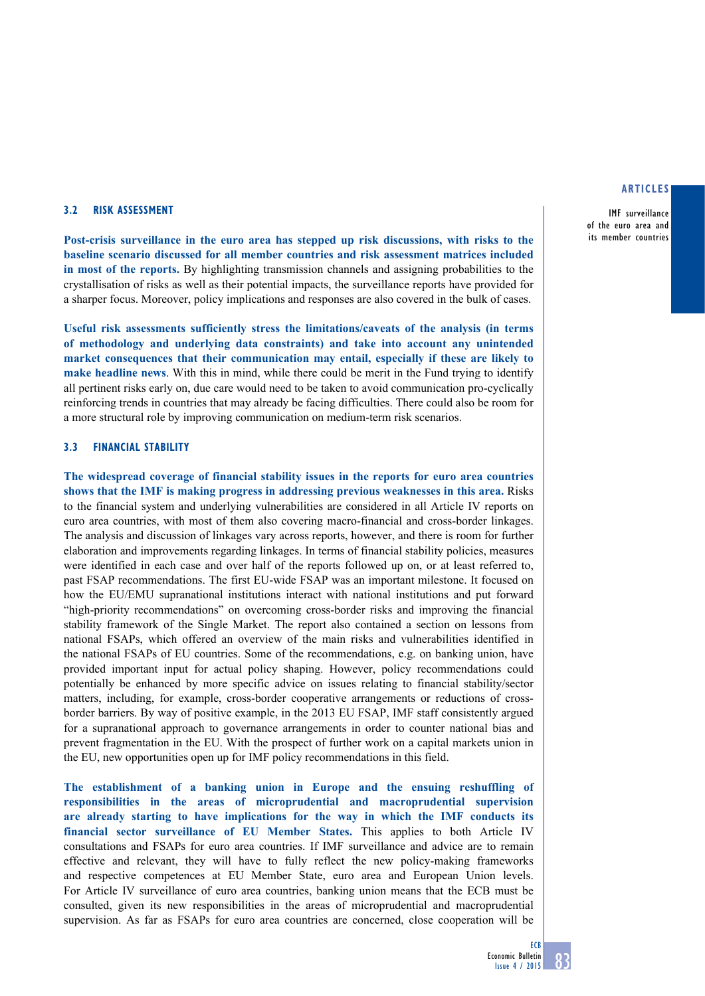IMF surveillance of the euro area and its member countries

## **3.2 Risk assessment**

**Post-crisis surveillance in the euro area has stepped up risk discussions, with risks to the baseline scenario discussed for all member countries and risk assessment matrices included in most of the reports.** By highlighting transmission channels and assigning probabilities to the crystallisation of risks as well as their potential impacts, the surveillance reports have provided for a sharper focus. Moreover, policy implications and responses are also covered in the bulk of cases.

**Useful risk assessments sufficiently stress the limitations/caveats of the analysis (in terms of methodology and underlying data constraints) and take into account any unintended market consequences that their communication may entail, especially if these are likely to make headline news**. With this in mind, while there could be merit in the Fund trying to identify all pertinent risks early on, due care would need to be taken to avoid communication pro-cyclically reinforcing trends in countries that may already be facing difficulties. There could also be room for a more structural role by improving communication on medium-term risk scenarios.

# **3.3 Financial Stability**

**The widespread coverage of financial stability issues in the reports for euro area countries shows that the IMF is making progress in addressing previous weaknesses in this area.** Risks to the financial system and underlying vulnerabilities are considered in all Article IV reports on euro area countries, with most of them also covering macro-financial and cross-border linkages. The analysis and discussion of linkages vary across reports, however, and there is room for further elaboration and improvements regarding linkages. In terms of financial stability policies, measures were identified in each case and over half of the reports followed up on, or at least referred to, past FSAP recommendations. The first EU-wide FSAP was an important milestone. It focused on how the EU/EMU supranational institutions interact with national institutions and put forward "high-priority recommendations" on overcoming cross-border risks and improving the financial stability framework of the Single Market. The report also contained a section on lessons from national FSAPs, which offered an overview of the main risks and vulnerabilities identified in the national FSAPs of EU countries. Some of the recommendations, e.g. on banking union, have provided important input for actual policy shaping. However, policy recommendations could potentially be enhanced by more specific advice on issues relating to financial stability/sector matters, including, for example, cross-border cooperative arrangements or reductions of crossborder barriers. By way of positive example, in the 2013 EU FSAP, IMF staff consistently argued for a supranational approach to governance arrangements in order to counter national bias and prevent fragmentation in the EU. With the prospect of further work on a capital markets union in the EU, new opportunities open up for IMF policy recommendations in this field.

**The establishment of a banking union in Europe and the ensuing reshuffling of responsibilities in the areas of microprudential and macroprudential supervision are already starting to have implications for the way in which the IMF conducts its financial sector surveillance of EU Member States.** This applies to both Article IV consultations and FSAPs for euro area countries. If IMF surveillance and advice are to remain effective and relevant, they will have to fully reflect the new policy-making frameworks and respective competences at EU Member State, euro area and European Union levels. For Article IV surveillance of euro area countries, banking union means that the ECB must be consulted, given its new responsibilities in the areas of microprudential and macroprudential supervision. As far as FSAPs for euro area countries are concerned, close cooperation will be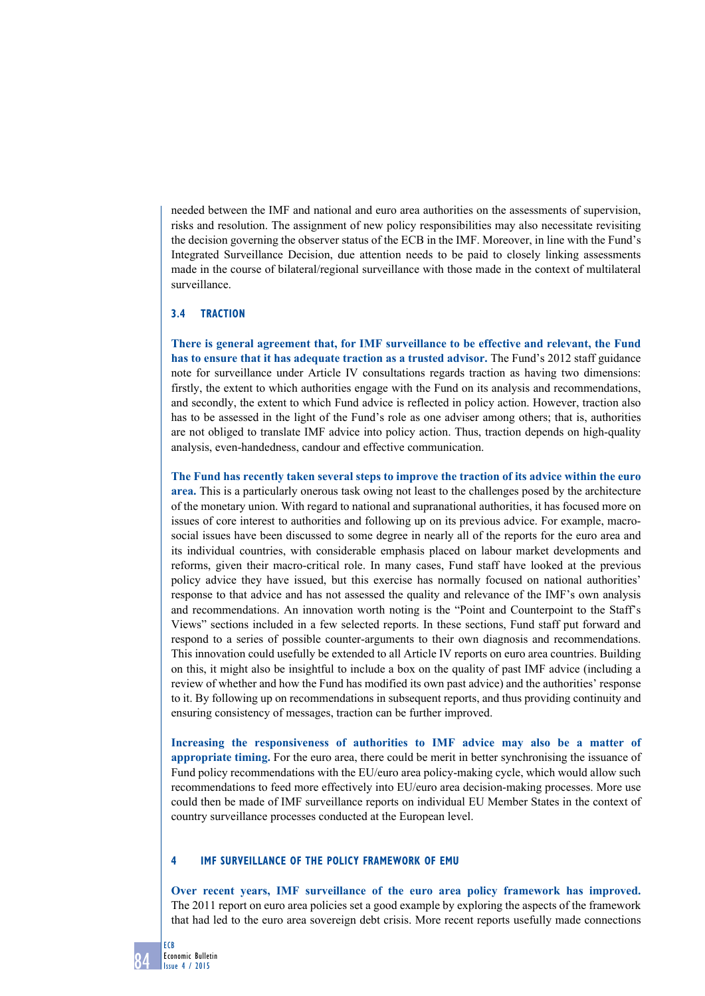needed between the IMF and national and euro area authorities on the assessments of supervision, risks and resolution. The assignment of new policy responsibilities may also necessitate revisiting the decision governing the observer status of the ECB in the IMF. Moreover, in line with the Fund's Integrated Surveillance Decision, due attention needs to be paid to closely linking assessments made in the course of bilateral/regional surveillance with those made in the context of multilateral surveillance.

# **3.4 Traction**

**There is general agreement that, for IMF surveillance to be effective and relevant, the Fund has to ensure that it has adequate traction as a trusted advisor.** The Fund's 2012 staff guidance note for surveillance under Article IV consultations regards traction as having two dimensions: firstly, the extent to which authorities engage with the Fund on its analysis and recommendations, and secondly, the extent to which Fund advice is reflected in policy action. However, traction also has to be assessed in the light of the Fund's role as one adviser among others; that is, authorities are not obliged to translate IMF advice into policy action. Thus, traction depends on high-quality analysis, even-handedness, candour and effective communication.

**The Fund has recently taken several steps to improve the traction of its advice within the euro area.** This is a particularly onerous task owing not least to the challenges posed by the architecture of the monetary union. With regard to national and supranational authorities, it has focused more on issues of core interest to authorities and following up on its previous advice. For example, macrosocial issues have been discussed to some degree in nearly all of the reports for the euro area and its individual countries, with considerable emphasis placed on labour market developments and reforms, given their macro-critical role. In many cases, Fund staff have looked at the previous policy advice they have issued, but this exercise has normally focused on national authorities' response to that advice and has not assessed the quality and relevance of the IMF's own analysis and recommendations. An innovation worth noting is the "Point and Counterpoint to the Staff's Views" sections included in a few selected reports. In these sections, Fund staff put forward and respond to a series of possible counter-arguments to their own diagnosis and recommendations. This innovation could usefully be extended to all Article IV reports on euro area countries. Building on this, it might also be insightful to include a box on the quality of past IMF advice (including a review of whether and how the Fund has modified its own past advice) and the authorities' response to it. By following up on recommendations in subsequent reports, and thus providing continuity and ensuring consistency of messages, traction can be further improved.

**Increasing the responsiveness of authorities to IMF advice may also be a matter of appropriate timing.** For the euro area, there could be merit in better synchronising the issuance of Fund policy recommendations with the EU/euro area policy-making cycle, which would allow such recommendations to feed more effectively into EU/euro area decision-making processes. More use could then be made of IMF surveillance reports on individual EU Member States in the context of country surveillance processes conducted at the European level.

# **4 IMF SURVEILLANCE OF THE policy FRAMEWORK OF EMU**

**Over recent years, IMF surveillance of the euro area policy framework has improved.**  The 2011 report on euro area policies set a good example by exploring the aspects of the framework that had led to the euro area sovereign debt crisis. More recent reports usefully made connections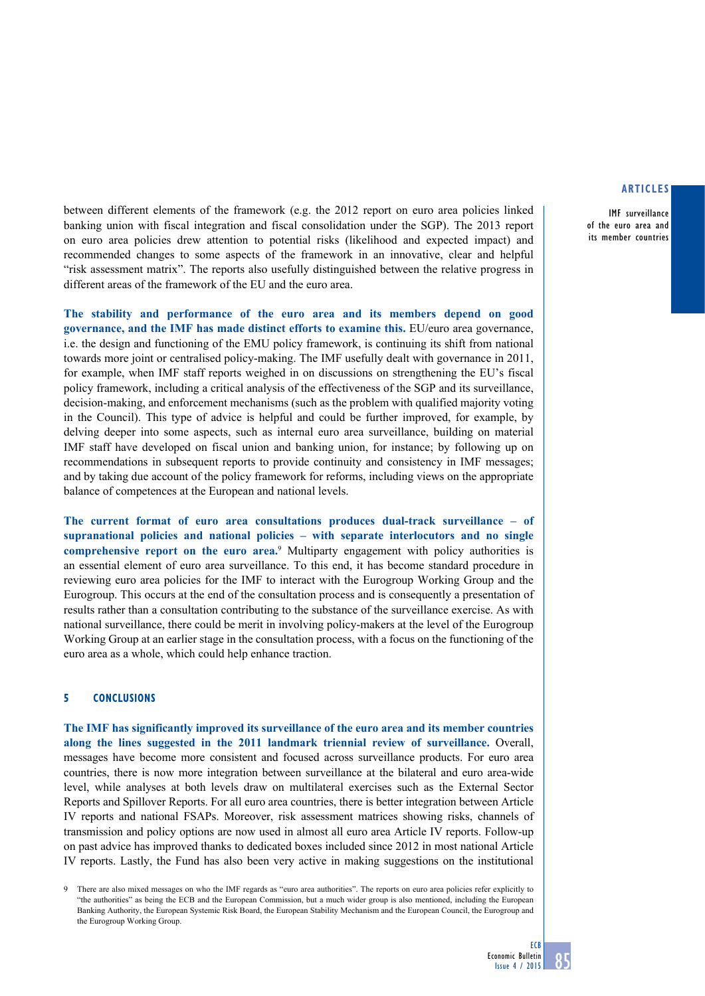IMF surveillance of the euro area and its member countries

between different elements of the framework (e.g. the 2012 report on euro area policies linked banking union with fiscal integration and fiscal consolidation under the SGP). The 2013 report on euro area policies drew attention to potential risks (likelihood and expected impact) and recommended changes to some aspects of the framework in an innovative, clear and helpful "risk assessment matrix". The reports also usefully distinguished between the relative progress in different areas of the framework of the EU and the euro area.

**The stability and performance of the euro area and its members depend on good governance, and the IMF has made distinct efforts to examine this.** EU/euro area governance, i.e. the design and functioning of the EMU policy framework, is continuing its shift from national towards more joint or centralised policy-making. The IMF usefully dealt with governance in 2011, for example, when IMF staff reports weighed in on discussions on strengthening the EU's fiscal policy framework, including a critical analysis of the effectiveness of the SGP and its surveillance, decision-making, and enforcement mechanisms (such as the problem with qualified majority voting in the Council). This type of advice is helpful and could be further improved, for example, by delving deeper into some aspects, such as internal euro area surveillance, building on material IMF staff have developed on fiscal union and banking union, for instance; by following up on recommendations in subsequent reports to provide continuity and consistency in IMF messages; and by taking due account of the policy framework for reforms, including views on the appropriate balance of competences at the European and national levels.

**The current format of euro area consultations produces dual-track surveillance – of supranational policies and national policies – with separate interlocutors and no single**  comprehensive report on the euro area.<sup>9</sup> Multiparty engagement with policy authorities is an essential element of euro area surveillance. To this end, it has become standard procedure in reviewing euro area policies for the IMF to interact with the Eurogroup Working Group and the Eurogroup. This occurs at the end of the consultation process and is consequently a presentation of results rather than a consultation contributing to the substance of the surveillance exercise. As with national surveillance, there could be merit in involving policy-makers at the level of the Eurogroup Working Group at an earlier stage in the consultation process, with a focus on the functioning of the euro area as a whole, which could help enhance traction.

## **5 Conclusions**

**The IMF has significantly improved its surveillance of the euro area and its member countries along the lines suggested in the 2011 landmark triennial review of surveillance.** Overall, messages have become more consistent and focused across surveillance products. For euro area countries, there is now more integration between surveillance at the bilateral and euro area-wide level, while analyses at both levels draw on multilateral exercises such as the External Sector Reports and Spillover Reports. For all euro area countries, there is better integration between Article IV reports and national FSAPs. Moreover, risk assessment matrices showing risks, channels of transmission and policy options are now used in almost all euro area Article IV reports. Follow-up on past advice has improved thanks to dedicated boxes included since 2012 in most national Article IV reports. Lastly, the Fund has also been very active in making suggestions on the institutional

There are also mixed messages on who the IMF regards as "euro area authorities". The reports on euro area policies refer explicitly to "the authorities" as being the ECB and the European Commission, but a much wider group is also mentioned, including the European Banking Authority, the European Systemic Risk Board, the European Stability Mechanism and the European Council, the Eurogroup and the Eurogroup Working Group.